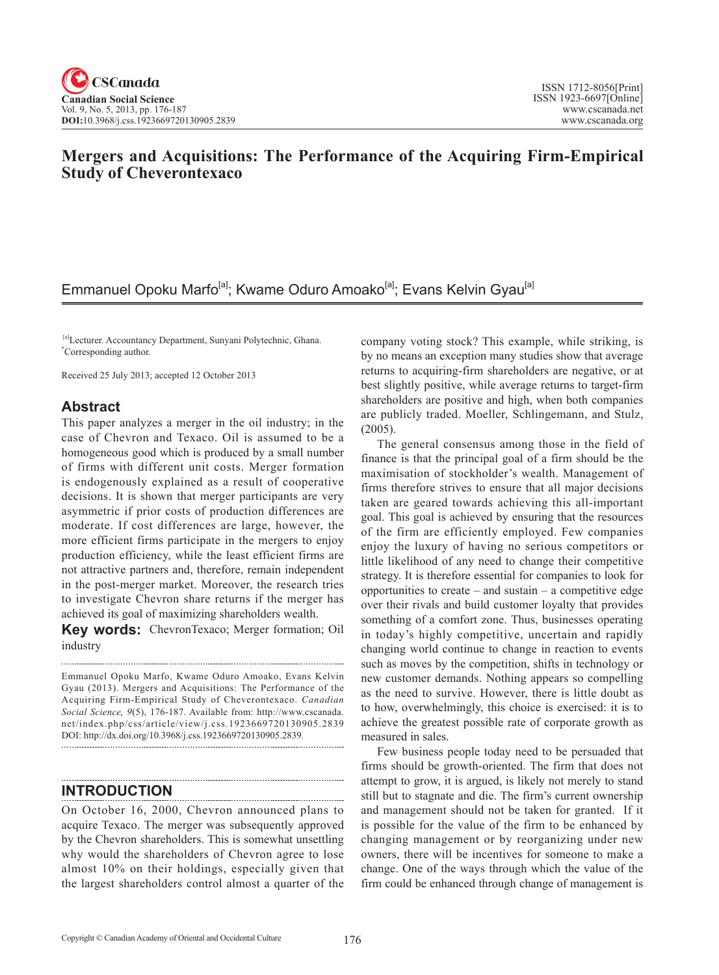# **Mergers and Acquisitions: The Performance of the Acquiring Firm-Empirical Study of Cheverontexaco**

# Emmanuel Opoku Marfo<sup>[a]</sup>; Kwame Oduro Amoako<sup>[a]</sup>; Evans Kelvin Gyau<sup>[a]</sup>

 [a]Lecturer. Accountancy Department, Sunyani Polytechnic, Ghana. \* Corresponding author.

Received 25 July 2013; accepted 12 October 2013

## **Abstract**

This paper analyzes a merger in the oil industry; in the case of Chevron and Texaco. Oil is assumed to be a homogeneous good which is produced by a small number of firms with different unit costs. Merger formation is endogenously explained as a result of cooperative decisions. It is shown that merger participants are very asymmetric if prior costs of production differences are moderate. If cost differences are large, however, the more efficient firms participate in the mergers to enjoy production efficiency, while the least efficient firms are not attractive partners and, therefore, remain independent in the post-merger market. Moreover, the research tries to investigate Chevron share returns if the merger has achieved its goal of maximizing shareholders wealth.

**Key words:** ChevronTexaco; Merger formation; Oil industry

Emmanuel Opoku Marfo, Kwame Oduro Amoako, Evans Kelvin Gyau (2013). Mergers and Acquisitions: The Performance of the Acquiring Firm-Empirical Study of Cheverontexaco. *Canadian Social Science*, <sup>9</sup>(5), 176-187. Available from: http://www.cscanada. net/index.php/css/article/view/j.css.1923669720130905.2839 DOI: http://dx.doi.org/10.3968/j.css.1923669720130905.2839.

## **INTRODUCTION**

On October 16, 2000, Chevron announced plans to acquire Texaco. The merger was subsequently approved by the Chevron shareholders. This is somewhat unsettling why would the shareholders of Chevron agree to lose almost 10% on their holdings, especially given that the largest shareholders control almost a quarter of the

company voting stock? This example, while striking, is by no means an exception many studies show that average returns to acquiring-firm shareholders are negative, or at best slightly positive, while average returns to target-firm shareholders are positive and high, when both companies are publicly traded. Moeller, Schlingemann, and Stulz, (2005).

The general consensus among those in the field of finance is that the principal goal of a firm should be the maximisation of stockholder's wealth. Management of firms therefore strives to ensure that all major decisions taken are geared towards achieving this all-important goal. This goal is achieved by ensuring that the resources of the firm are efficiently employed. Few companies enjoy the luxury of having no serious competitors or little likelihood of any need to change their competitive strategy. It is therefore essential for companies to look for opportunities to create – and sustain – a competitive edge over their rivals and build customer loyalty that provides something of a comfort zone. Thus, businesses operating in today's highly competitive, uncertain and rapidly changing world continue to change in reaction to events such as moves by the competition, shifts in technology or new customer demands. Nothing appears so compelling as the need to survive. However, there is little doubt as to how, overwhelmingly, this choice is exercised: it is to achieve the greatest possible rate of corporate growth as measured in sales.

Few business people today need to be persuaded that firms should be growth-oriented. The firm that does not attempt to grow, it is argued, is likely not merely to stand still but to stagnate and die. The firm's current ownership and management should not be taken for granted. If it is possible for the value of the firm to be enhanced by changing management or by reorganizing under new owners, there will be incentives for someone to make a change. One of the ways through which the value of the firm could be enhanced through change of management is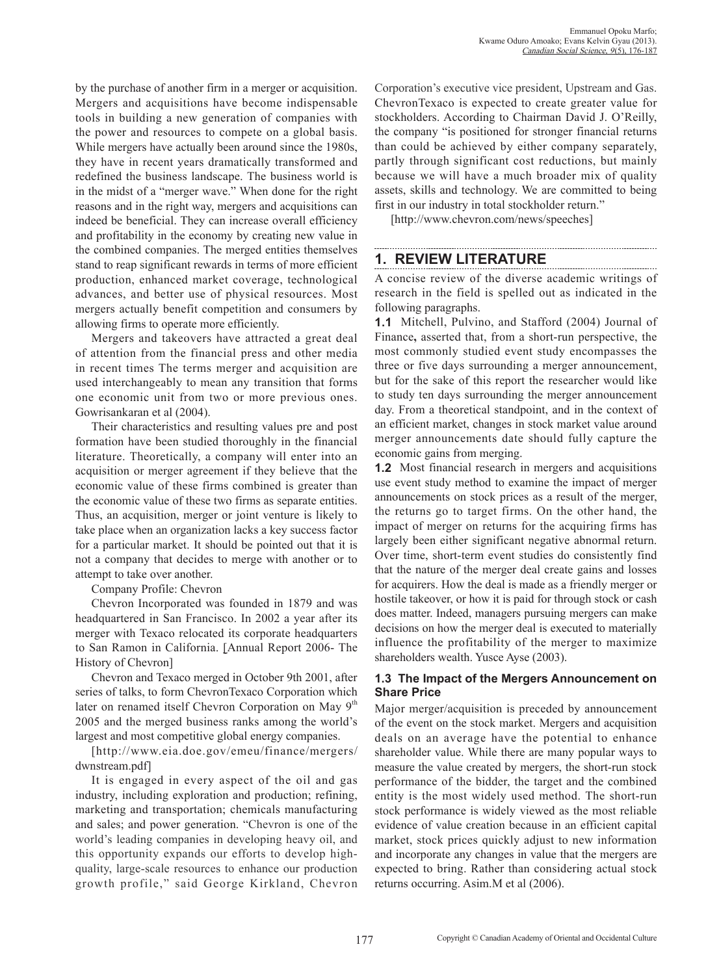by the purchase of another firm in a merger or acquisition. Mergers and acquisitions have become indispensable tools in building a new generation of companies with the power and resources to compete on a global basis. While mergers have actually been around since the 1980s, they have in recent years dramatically transformed and redefined the business landscape. The business world is in the midst of a "merger wave." When done for the right reasons and in the right way, mergers and acquisitions can indeed be beneficial. They can increase overall efficiency and profitability in the economy by creating new value in the combined companies. The merged entities themselves stand to reap significant rewards in terms of more efficient production, enhanced market coverage, technological advances, and better use of physical resources. Most mergers actually benefit competition and consumers by allowing firms to operate more efficiently.

Mergers and takeovers have attracted a great deal of attention from the financial press and other media in recent times The terms merger and acquisition are used interchangeably to mean any transition that forms one economic unit from two or more previous ones. Gowrisankaran et al (2004).

Their characteristics and resulting values pre and post formation have been studied thoroughly in the financial literature. Theoretically, a company will enter into an acquisition or merger agreement if they believe that the economic value of these firms combined is greater than the economic value of these two firms as separate entities. Thus, an acquisition, merger or joint venture is likely to take place when an organization lacks a key success factor for a particular market. It should be pointed out that it is not a company that decides to merge with another or to attempt to take over another.

### Company Profile: Chevron

Chevron Incorporated was founded in 1879 and was headquartered in San Francisco. In 2002 a year after its merger with Texaco relocated its corporate headquarters to San Ramon in California. [Annual Report 2006- The History of Chevron]

Chevron and Texaco merged in October 9th 2001, after series of talks, to form ChevronTexaco Corporation which later on renamed itself Chevron Corporation on May 9<sup>th</sup> 2005 and the merged business ranks among the world's largest and most competitive global energy companies.

[http://www.eia.doe.gov/emeu/finance/mergers/ dwnstream.pdf]

It is engaged in every aspect of the oil and gas industry, including exploration and production; refining, marketing and transportation; chemicals manufacturing and sales; and power generation. "Chevron is one of the world's leading companies in developing heavy oil, and this opportunity expands our efforts to develop highquality, large-scale resources to enhance our production growth profile," said George Kirkland, Chevron

Corporation's executive vice president, Upstream and Gas. ChevronTexaco is expected to create greater value for stockholders. According to Chairman David J. O'Reilly, the company "is positioned for stronger financial returns than could be achieved by either company separately, partly through significant cost reductions, but mainly because we will have a much broader mix of quality assets, skills and technology. We are committed to being first in our industry in total stockholder return."

[http://www.chevron.com/news/speeches]

### **1. REVIEW LITERATURE**

A concise review of the diverse academic writings of research in the field is spelled out as indicated in the following paragraphs.

**1.1** Mitchell, Pulvino, and Stafford (2004) Journal of Finance**,** asserted that, from a short-run perspective, the most commonly studied event study encompasses the three or five days surrounding a merger announcement, but for the sake of this report the researcher would like to study ten days surrounding the merger announcement day. From a theoretical standpoint, and in the context of an efficient market, changes in stock market value around merger announcements date should fully capture the economic gains from merging.

**1.2** Most financial research in mergers and acquisitions use event study method to examine the impact of merger announcements on stock prices as a result of the merger, the returns go to target firms. On the other hand, the impact of merger on returns for the acquiring firms has largely been either significant negative abnormal return. Over time, short-term event studies do consistently find that the nature of the merger deal create gains and losses for acquirers. How the deal is made as a friendly merger or hostile takeover, or how it is paid for through stock or cash does matter. Indeed, managers pursuing mergers can make decisions on how the merger deal is executed to materially influence the profitability of the merger to maximize shareholders wealth. Yusce Ayse (2003).

### **1.3 The Impact of the Mergers Announcement on Share Price**

Major merger/acquisition is preceded by announcement of the event on the stock market. Mergers and acquisition deals on an average have the potential to enhance shareholder value. While there are many popular ways to measure the value created by mergers, the short-run stock performance of the bidder, the target and the combined entity is the most widely used method. The short-run stock performance is widely viewed as the most reliable evidence of value creation because in an efficient capital market, stock prices quickly adjust to new information and incorporate any changes in value that the mergers are expected to bring. Rather than considering actual stock returns occurring. Asim.M et al (2006).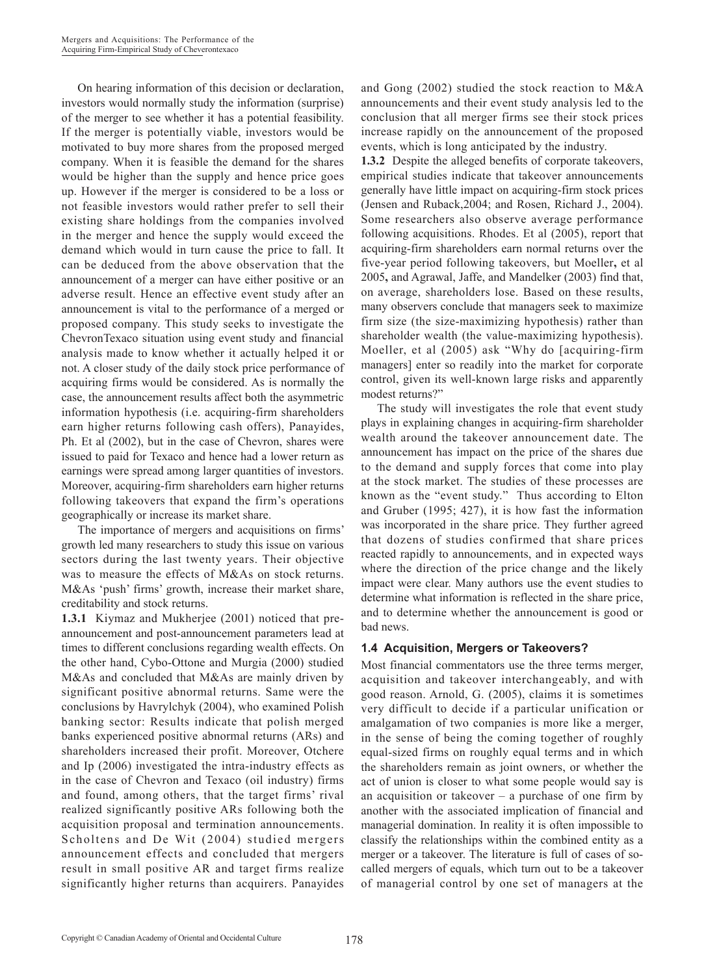On hearing information of this decision or declaration, investors would normally study the information (surprise) of the merger to see whether it has a potential feasibility. If the merger is potentially viable, investors would be motivated to buy more shares from the proposed merged company. When it is feasible the demand for the shares would be higher than the supply and hence price goes up. However if the merger is considered to be a loss or not feasible investors would rather prefer to sell their existing share holdings from the companies involved in the merger and hence the supply would exceed the demand which would in turn cause the price to fall. It can be deduced from the above observation that the announcement of a merger can have either positive or an adverse result. Hence an effective event study after an announcement is vital to the performance of a merged or proposed company. This study seeks to investigate the ChevronTexaco situation using event study and financial analysis made to know whether it actually helped it or not. A closer study of the daily stock price performance of acquiring firms would be considered. As is normally the case, the announcement results affect both the asymmetric information hypothesis (i.e. acquiring-firm shareholders earn higher returns following cash offers), Panayides, Ph. Et al (2002), but in the case of Chevron, shares were issued to paid for Texaco and hence had a lower return as earnings were spread among larger quantities of investors. Moreover, acquiring-firm shareholders earn higher returns following takeovers that expand the firm's operations geographically or increase its market share.

The importance of mergers and acquisitions on firms' growth led many researchers to study this issue on various sectors during the last twenty years. Their objective was to measure the effects of M&As on stock returns. M&As 'push' firms' growth, increase their market share, creditability and stock returns.

**1.3.1** Kiymaz and Mukherjee (2001) noticed that preannouncement and post-announcement parameters lead at times to different conclusions regarding wealth effects. On the other hand, Cybo-Ottone and Murgia (2000) studied M&As and concluded that M&As are mainly driven by significant positive abnormal returns. Same were the conclusions by Havrylchyk (2004), who examined Polish banking sector: Results indicate that polish merged banks experienced positive abnormal returns (ARs) and shareholders increased their profit. Moreover, Otchere and Ip (2006) investigated the intra-industry effects as in the case of Chevron and Texaco (oil industry) firms and found, among others, that the target firms' rival realized significantly positive ARs following both the acquisition proposal and termination announcements. Scholtens and De Wit (2004) studied mergers announcement effects and concluded that mergers result in small positive AR and target firms realize significantly higher returns than acquirers. Panayides and Gong (2002) studied the stock reaction to M&A announcements and their event study analysis led to the conclusion that all merger firms see their stock prices increase rapidly on the announcement of the proposed events, which is long anticipated by the industry.

**1.3.2** Despite the alleged benefits of corporate takeovers, empirical studies indicate that takeover announcements generally have little impact on acquiring-firm stock prices (Jensen and Ruback,2004; and Rosen, Richard J., 2004). Some researchers also observe average performance following acquisitions. Rhodes. Et al (2005), report that acquiring-firm shareholders earn normal returns over the five-year period following takeovers, but Moeller**,** et al 2005**,** and Agrawal, Jaffe, and Mandelker (2003) find that, on average, shareholders lose. Based on these results, many observers conclude that managers seek to maximize firm size (the size-maximizing hypothesis) rather than shareholder wealth (the value-maximizing hypothesis). Moeller, et al (2005) ask "Why do [acquiring-firm managers] enter so readily into the market for corporate control, given its well-known large risks and apparently modest returns?"

The study will investigates the role that event study plays in explaining changes in acquiring-firm shareholder wealth around the takeover announcement date. The announcement has impact on the price of the shares due to the demand and supply forces that come into play at the stock market. The studies of these processes are known as the "event study." Thus according to Elton and Gruber (1995; 427), it is how fast the information was incorporated in the share price. They further agreed that dozens of studies confirmed that share prices reacted rapidly to announcements, and in expected ways where the direction of the price change and the likely impact were clear. Many authors use the event studies to determine what information is reflected in the share price, and to determine whether the announcement is good or bad news.

### **1.4 Acquisition, Mergers or Takeovers?**

Most financial commentators use the three terms merger, acquisition and takeover interchangeably, and with good reason. Arnold, G. (2005), claims it is sometimes very difficult to decide if a particular unification or amalgamation of two companies is more like a merger, in the sense of being the coming together of roughly equal-sized firms on roughly equal terms and in which the shareholders remain as joint owners, or whether the act of union is closer to what some people would say is an acquisition or takeover – a purchase of one firm by another with the associated implication of financial and managerial domination. In reality it is often impossible to classify the relationships within the combined entity as a merger or a takeover. The literature is full of cases of socalled mergers of equals, which turn out to be a takeover of managerial control by one set of managers at the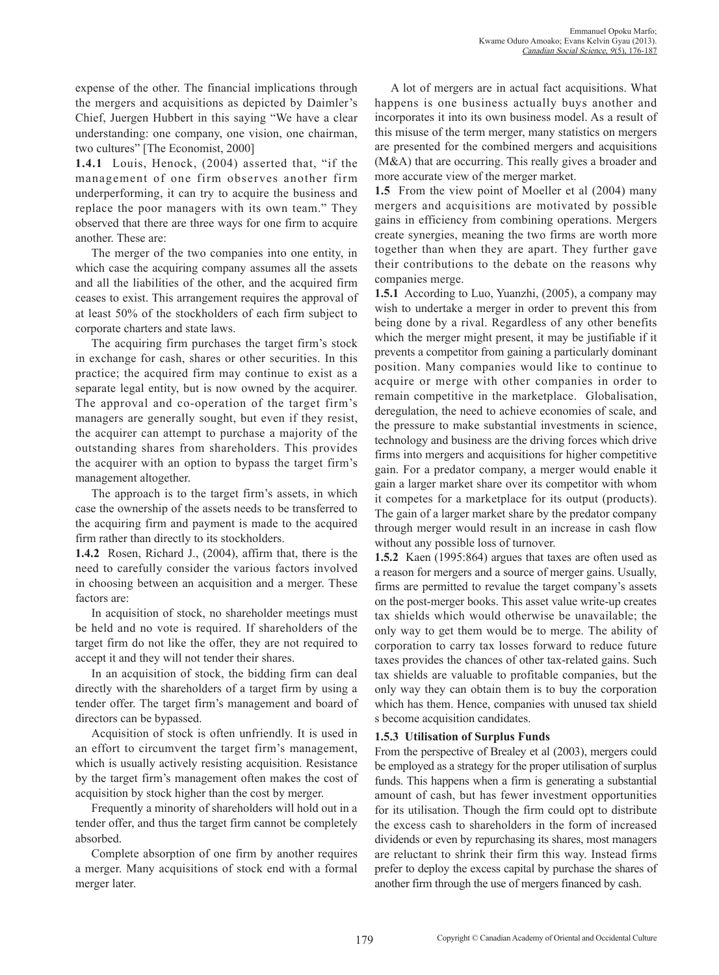expense of the other. The financial implications through the mergers and acquisitions as depicted by Daimler's Chief, Juergen Hubbert in this saying "We have a clear understanding: one company, one vision, one chairman, two cultures" [The Economist, 2000]

**1.4.1** Louis, Henock, (2004) asserted that, "if the management of one firm observes another firm underperforming, it can try to acquire the business and replace the poor managers with its own team." They observed that there are three ways for one firm to acquire another. These are:

The merger of the two companies into one entity, in which case the acquiring company assumes all the assets and all the liabilities of the other, and the acquired firm ceases to exist. This arrangement requires the approval of at least 50% of the stockholders of each firm subject to corporate charters and state laws.

The acquiring firm purchases the target firm's stock in exchange for cash, shares or other securities. In this practice; the acquired firm may continue to exist as a separate legal entity, but is now owned by the acquirer. The approval and co-operation of the target firm's managers are generally sought, but even if they resist, the acquirer can attempt to purchase a majority of the outstanding shares from shareholders. This provides the acquirer with an option to bypass the target firm's management altogether.

The approach is to the target firm's assets, in which case the ownership of the assets needs to be transferred to the acquiring firm and payment is made to the acquired firm rather than directly to its stockholders.

**1.4.2** Rosen, Richard J., (2004), affirm that, there is the need to carefully consider the various factors involved in choosing between an acquisition and a merger. These factors are:

In acquisition of stock, no shareholder meetings must be held and no vote is required. If shareholders of the target firm do not like the offer, they are not required to accept it and they will not tender their shares.

In an acquisition of stock, the bidding firm can deal directly with the shareholders of a target firm by using a tender offer. The target firm's management and board of directors can be bypassed.

Acquisition of stock is often unfriendly. It is used in an effort to circumvent the target firm's management, which is usually actively resisting acquisition. Resistance by the target firm's management often makes the cost of acquisition by stock higher than the cost by merger.

Frequently a minority of shareholders will hold out in a tender offer, and thus the target firm cannot be completely absorbed.

Complete absorption of one firm by another requires a merger. Many acquisitions of stock end with a formal merger later.

A lot of mergers are in actual fact acquisitions. What happens is one business actually buys another and incorporates it into its own business model. As a result of this misuse of the term merger, many statistics on mergers are presented for the combined mergers and acquisitions (M&A) that are occurring. This really gives a broader and more accurate view of the merger market.

**1.5** From the view point of Moeller et al (2004) many mergers and acquisitions are motivated by possible gains in efficiency from combining operations. Mergers create synergies, meaning the two firms are worth more together than when they are apart. They further gave their contributions to the debate on the reasons why companies merge.

**1.5.1** According to Luo, Yuanzhi, (2005), a company may wish to undertake a merger in order to prevent this from being done by a rival. Regardless of any other benefits which the merger might present, it may be justifiable if it prevents a competitor from gaining a particularly dominant position. Many companies would like to continue to acquire or merge with other companies in order to remain competitive in the marketplace. Globalisation, deregulation, the need to achieve economies of scale, and the pressure to make substantial investments in science, technology and business are the driving forces which drive firms into mergers and acquisitions for higher competitive gain. For a predator company, a merger would enable it gain a larger market share over its competitor with whom it competes for a marketplace for its output (products). The gain of a larger market share by the predator company through merger would result in an increase in cash flow without any possible loss of turnover.

**1.5.2** Kaen (1995:864) argues that taxes are often used as a reason for mergers and a source of merger gains. Usually, firms are permitted to revalue the target company's assets on the post-merger books. This asset value write-up creates tax shields which would otherwise be unavailable; the only way to get them would be to merge. The ability of corporation to carry tax losses forward to reduce future taxes provides the chances of other tax-related gains. Such tax shields are valuable to profitable companies, but the only way they can obtain them is to buy the corporation which has them. Hence, companies with unused tax shield s become acquisition candidates.

### **1.5.3 Utilisation of Surplus Funds**

From the perspective of Brealey et al (2003), mergers could be employed as a strategy for the proper utilisation of surplus funds. This happens when a firm is generating a substantial amount of cash, but has fewer investment opportunities for its utilisation. Though the firm could opt to distribute the excess cash to shareholders in the form of increased dividends or even by repurchasing its shares, most managers are reluctant to shrink their firm this way. Instead firms prefer to deploy the excess capital by purchase the shares of another firm through the use of mergers financed by cash.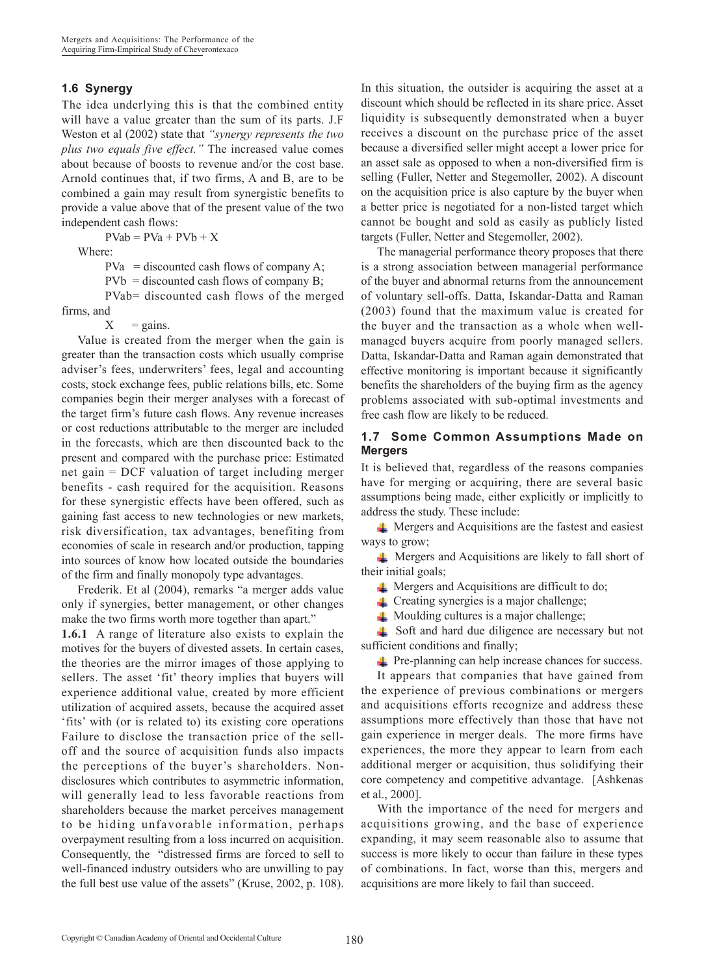### **1.6 Synergy**

The idea underlying this is that the combined entity will have a value greater than the sum of its parts. J.F Weston et al (2002) state that *"synergy represents the two plus two equals five effect."* The increased value comes about because of boosts to revenue and/or the cost base. Arnold continues that, if two firms, A and B, are to be combined a gain may result from synergistic benefits to provide a value above that of the present value of the two independent cash flows:

 $PVab = PVa + PVb + X$ 

Where:

 $PVa =$  discounted cash flows of company A;

 $PVb =$  discounted cash flows of company B;

PVab= discounted cash flows of the merged firms, and

 $X = \text{gains}.$ 

Value is created from the merger when the gain is greater than the transaction costs which usually comprise adviser's fees, underwriters' fees, legal and accounting costs, stock exchange fees, public relations bills, etc. Some companies begin their merger analyses with a forecast of the target firm's future cash flows. Any revenue increases or cost reductions attributable to the merger are included in the forecasts, which are then discounted back to the present and compared with the purchase price: Estimated net gain = DCF valuation of target including merger benefits - cash required for the acquisition. Reasons for these synergistic effects have been offered, such as gaining fast access to new technologies or new markets, risk diversification, tax advantages, benefiting from economies of scale in research and/or production, tapping into sources of know how located outside the boundaries of the firm and finally monopoly type advantages.

Frederik. Et al (2004), remarks "a merger adds value only if synergies, better management, or other changes make the two firms worth more together than apart."

**1.6.1** A range of literature also exists to explain the motives for the buyers of divested assets. In certain cases, the theories are the mirror images of those applying to sellers. The asset 'fit' theory implies that buyers will experience additional value, created by more efficient utilization of acquired assets, because the acquired asset 'fits' with (or is related to) its existing core operations Failure to disclose the transaction price of the selloff and the source of acquisition funds also impacts the perceptions of the buyer's shareholders. Nondisclosures which contributes to asymmetric information, will generally lead to less favorable reactions from shareholders because the market perceives management to be hiding unfavorable information, perhaps overpayment resulting from a loss incurred on acquisition. Consequently, the "distressed firms are forced to sell to well-financed industry outsiders who are unwilling to pay the full best use value of the assets" (Kruse, 2002, p. 108).

In this situation, the outsider is acquiring the asset at a discount which should be reflected in its share price. Asset liquidity is subsequently demonstrated when a buyer receives a discount on the purchase price of the asset because a diversified seller might accept a lower price for an asset sale as opposed to when a non-diversified firm is selling (Fuller, Netter and Stegemoller, 2002). A discount on the acquisition price is also capture by the buyer when a better price is negotiated for a non-listed target which cannot be bought and sold as easily as publicly listed targets (Fuller, Netter and Stegemoller, 2002).

The managerial performance theory proposes that there is a strong association between managerial performance of the buyer and abnormal returns from the announcement of voluntary sell-offs. Datta, Iskandar-Datta and Raman (2003) found that the maximum value is created for the buyer and the transaction as a whole when wellmanaged buyers acquire from poorly managed sellers. Datta, Iskandar-Datta and Raman again demonstrated that effective monitoring is important because it significantly benefits the shareholders of the buying firm as the agency problems associated with sub-optimal investments and free cash flow are likely to be reduced.

### **1.7 Some Common Assumptions Made on Mergers**

It is believed that, regardless of the reasons companies have for merging or acquiring, there are several basic assumptions being made, either explicitly or implicitly to address the study. These include:

 Mergers and Acquisitions are the fastest and easiest ways to grow;

 Mergers and Acquisitions are likely to fall short of their initial goals;

 $\perp$  Mergers and Acquisitions are difficult to do;

**⊥** Creating synergies is a major challenge;

 $\perp$  Moulding cultures is a major challenge;

 Soft and hard due diligence are necessary but not sufficient conditions and finally;

Pre-planning can help increase chances for success.

It appears that companies that have gained from the experience of previous combinations or mergers and acquisitions efforts recognize and address these assumptions more effectively than those that have not gain experience in merger deals. The more firms have experiences, the more they appear to learn from each additional merger or acquisition, thus solidifying their core competency and competitive advantage. [Ashkenas et al., 2000].

With the importance of the need for mergers and acquisitions growing, and the base of experience expanding, it may seem reasonable also to assume that success is more likely to occur than failure in these types of combinations. In fact, worse than this, mergers and acquisitions are more likely to fail than succeed.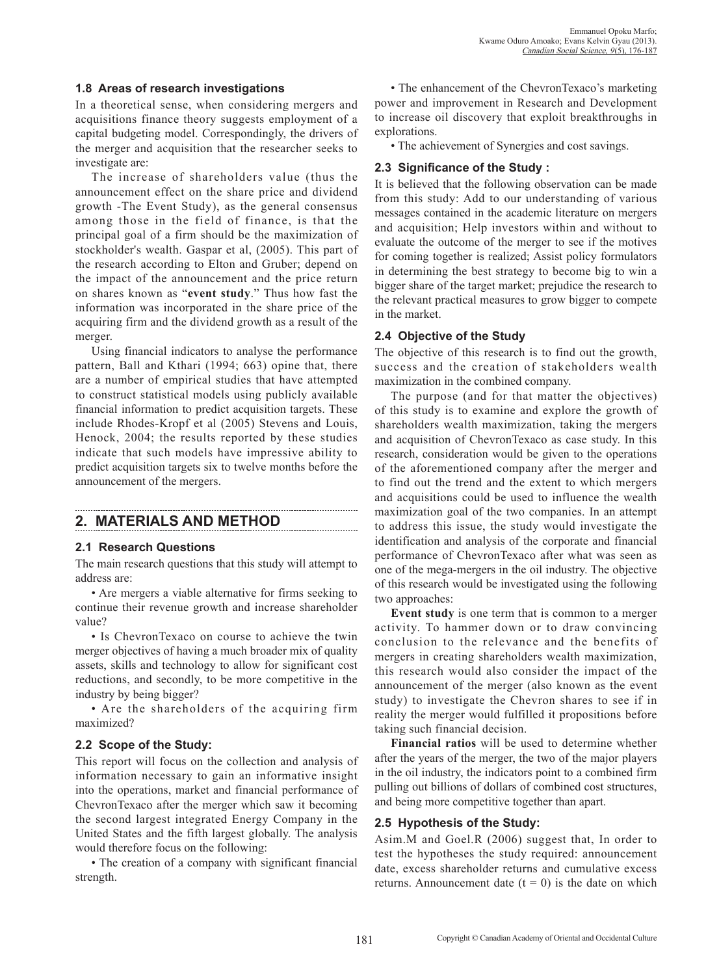### **1.8 Areas of research investigations**

In a theoretical sense, when considering mergers and acquisitions finance theory suggests employment of a capital budgeting model. Correspondingly, the drivers of the merger and acquisition that the researcher seeks to investigate are:

The increase of shareholders value (thus the announcement effect on the share price and dividend growth -The Event Study), as the general consensus among those in the field of finance, is that the principal goal of a firm should be the maximization of stockholder's wealth. Gaspar et al, (2005). This part of the research according to Elton and Gruber; depend on the impact of the announcement and the price return on shares known as "**event study**." Thus how fast the information was incorporated in the share price of the acquiring firm and the dividend growth as a result of the merger.

Using financial indicators to analyse the performance pattern, Ball and Kthari (1994; 663) opine that, there are a number of empirical studies that have attempted to construct statistical models using publicly available financial information to predict acquisition targets. These include Rhodes-Kropf et al (2005) Stevens and Louis, Henock, 2004; the results reported by these studies indicate that such models have impressive ability to predict acquisition targets six to twelve months before the announcement of the mergers.

## **2. MATERIALS AND METHOD**

### **2.1 Research Questions**

The main research questions that this study will attempt to address are:

• Are mergers a viable alternative for firms seeking to continue their revenue growth and increase shareholder value?

• Is ChevronTexaco on course to achieve the twin merger objectives of having a much broader mix of quality assets, skills and technology to allow for significant cost reductions, and secondly, to be more competitive in the industry by being bigger?

• Are the shareholders of the acquiring firm maximized?

### **2.2 Scope of the Study:**

This report will focus on the collection and analysis of information necessary to gain an informative insight into the operations, market and financial performance of ChevronTexaco after the merger which saw it becoming the second largest integrated Energy Company in the United States and the fifth largest globally. The analysis would therefore focus on the following:

• The creation of a company with significant financial strength.

• The enhancement of the ChevronTexaco's marketing power and improvement in Research and Development to increase oil discovery that exploit breakthroughs in explorations.

• The achievement of Synergies and cost savings.

### **2.3 Significance of the Study :**

It is believed that the following observation can be made from this study: Add to our understanding of various messages contained in the academic literature on mergers and acquisition; Help investors within and without to evaluate the outcome of the merger to see if the motives for coming together is realized; Assist policy formulators in determining the best strategy to become big to win a bigger share of the target market; prejudice the research to the relevant practical measures to grow bigger to compete in the market.

### **2.4 Objective of the Study**

The objective of this research is to find out the growth, success and the creation of stakeholders wealth maximization in the combined company.

The purpose (and for that matter the objectives) of this study is to examine and explore the growth of shareholders wealth maximization, taking the mergers and acquisition of ChevronTexaco as case study. In this research, consideration would be given to the operations of the aforementioned company after the merger and to find out the trend and the extent to which mergers and acquisitions could be used to influence the wealth maximization goal of the two companies. In an attempt to address this issue, the study would investigate the identification and analysis of the corporate and financial performance of ChevronTexaco after what was seen as one of the mega-mergers in the oil industry. The objective of this research would be investigated using the following two approaches:

**Event study** is one term that is common to a merger activity. To hammer down or to draw convincing conclusion to the relevance and the benefits of mergers in creating shareholders wealth maximization, this research would also consider the impact of the announcement of the merger (also known as the event study) to investigate the Chevron shares to see if in reality the merger would fulfilled it propositions before taking such financial decision.

**Financial ratios** will be used to determine whether after the years of the merger, the two of the major players in the oil industry, the indicators point to a combined firm pulling out billions of dollars of combined cost structures, and being more competitive together than apart.

### **2.5 Hypothesis of the Study:**

Asim.M and Goel.R (2006) suggest that, In order to test the hypotheses the study required: announcement date, excess shareholder returns and cumulative excess returns. Announcement date  $(t = 0)$  is the date on which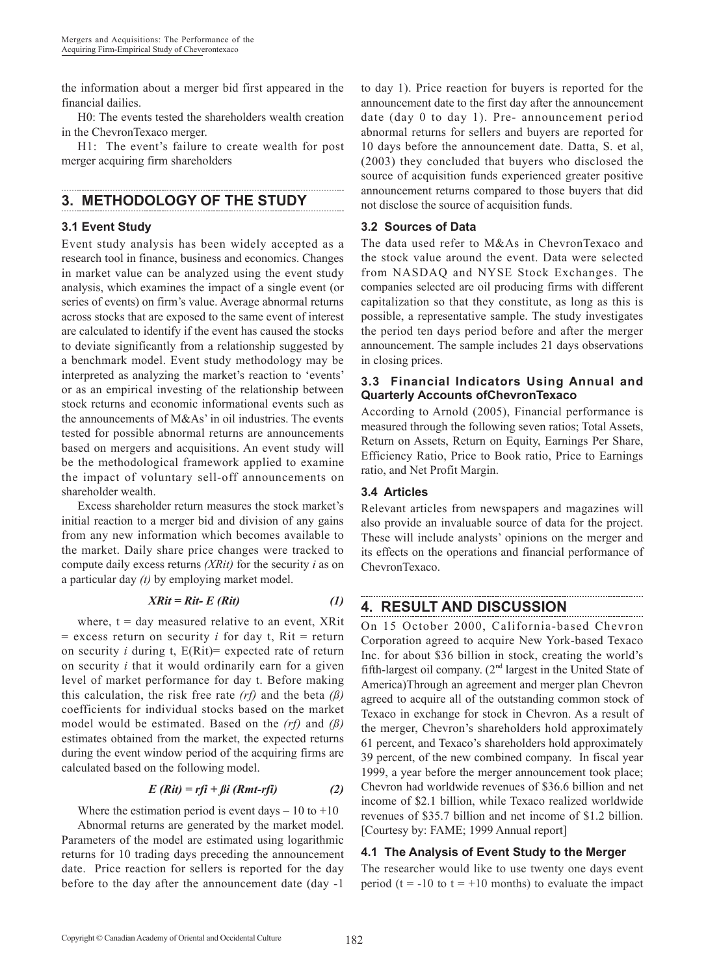the information about a merger bid first appeared in the financial dailies.

H0: The events tested the shareholders wealth creation in the ChevronTexaco merger.

H1: The event's failure to create wealth for post merger acquiring firm shareholders

## **3. METHODOLOGY OF THE STUDY**

### **3.1 Event Study**

Event study analysis has been widely accepted as a research tool in finance, business and economics. Changes in market value can be analyzed using the event study analysis, which examines the impact of a single event (or series of events) on firm's value. Average abnormal returns across stocks that are exposed to the same event of interest are calculated to identify if the event has caused the stocks to deviate significantly from a relationship suggested by a benchmark model. Event study methodology may be interpreted as analyzing the market's reaction to 'events' or as an empirical investing of the relationship between stock returns and economic informational events such as the announcements of M&As' in oil industries. The events tested for possible abnormal returns are announcements based on mergers and acquisitions. An event study will be the methodological framework applied to examine the impact of voluntary sell-off announcements on shareholder wealth.

Excess shareholder return measures the stock market's initial reaction to a merger bid and division of any gains from any new information which becomes available to the market. Daily share price changes were tracked to compute daily excess returns *(XRit)* for the security *i* as on a particular day *(t)* by employing market model.

$$
XRit = Rit - E (Rit)
$$
 (1)

where,  $t = day$  measured relative to an event, XRit  $=$  excess return on security *i* for day t, Rit  $=$  return on security *i* during t, E(Rit)= expected rate of return on security *i* that it would ordinarily earn for a given level of market performance for day t. Before making this calculation, the risk free rate *(rf)* and the beta *(ß)* coefficients for individual stocks based on the market model would be estimated. Based on the *(rf)* and *(ß)* estimates obtained from the market, the expected returns during the event window period of the acquiring firms are calculated based on the following model.

$$
E\left(Rit\right) = rfi + \beta i\left(Rmt-rfi\right) \tag{2}
$$

Where the estimation period is event days  $-10$  to  $+10$ Abnormal returns are generated by the market model. Parameters of the model are estimated using logarithmic returns for 10 trading days preceding the announcement date. Price reaction for sellers is reported for the day before to the day after the announcement date (day -1 to day 1). Price reaction for buyers is reported for the announcement date to the first day after the announcement date (day 0 to day 1). Pre- announcement period abnormal returns for sellers and buyers are reported for 10 days before the announcement date. Datta, S. et al, (2003) they concluded that buyers who disclosed the source of acquisition funds experienced greater positive announcement returns compared to those buyers that did not disclose the source of acquisition funds.

### **3.2 Sources of Data**

The data used refer to M&As in ChevronTexaco and the stock value around the event. Data were selected from NASDAQ and NYSE Stock Exchanges. The companies selected are oil producing firms with different capitalization so that they constitute, as long as this is possible, a representative sample. The study investigates the period ten days period before and after the merger announcement. The sample includes 21 days observations in closing prices.

### **3.3 Financial Indicators Using Annual and Quarterly Accounts ofChevronTexaco**

According to Arnold (2005), Financial performance is measured through the following seven ratios; Total Assets, Return on Assets, Return on Equity, Earnings Per Share, Efficiency Ratio, Price to Book ratio, Price to Earnings ratio, and Net Profit Margin.

## **3.4 Articles**

Relevant articles from newspapers and magazines will also provide an invaluable source of data for the project. These will include analysts' opinions on the merger and its effects on the operations and financial performance of ChevronTexaco.

## **4. RESULT AND DISCUSSION**

On 15 October 2000, California-based Chevron Corporation agreed to acquire New York-based Texaco Inc. for about \$36 billion in stock, creating the world's fifth-largest oil company.  $(2<sup>nd</sup>$  largest in the United State of America)Through an agreement and merger plan Chevron agreed to acquire all of the outstanding common stock of Texaco in exchange for stock in Chevron. As a result of the merger, Chevron's shareholders hold approximately 61 percent, and Texaco's shareholders hold approximately 39 percent, of the new combined company. In fiscal year 1999, a year before the merger announcement took place; Chevron had worldwide revenues of \$36.6 billion and net income of \$2.1 billion, while Texaco realized worldwide revenues of \$35.7 billion and net income of \$1.2 billion. [Courtesy by: FAME; 1999 Annual report]

## **4.1 The Analysis of Event Study to the Merger**

The researcher would like to use twenty one days event period (t =  $-10$  to t =  $+10$  months) to evaluate the impact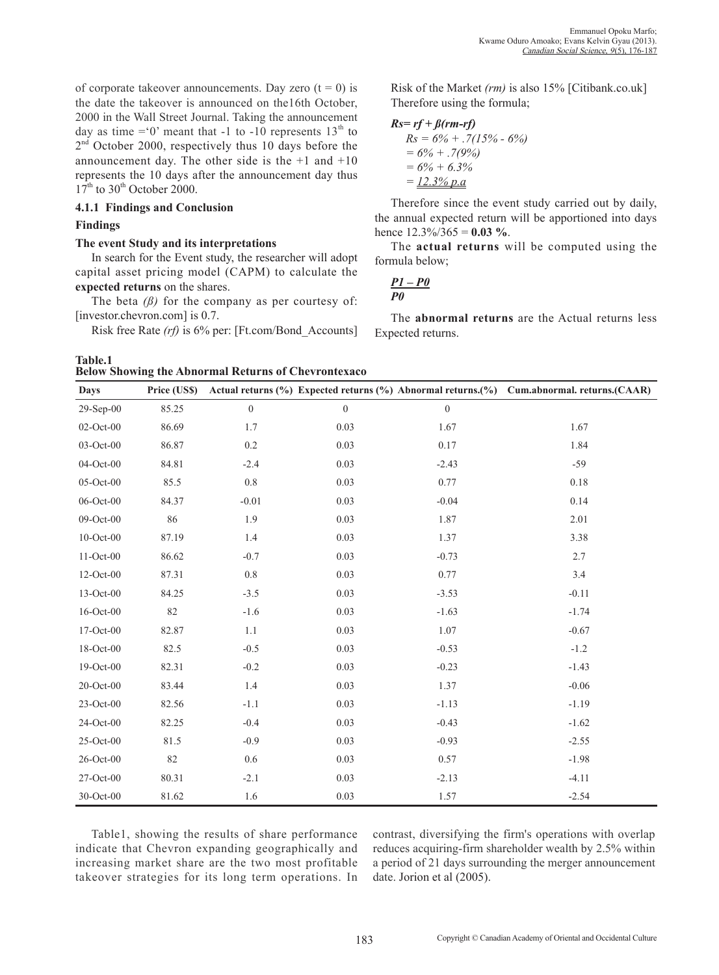of corporate takeover announcements. Day zero  $(t = 0)$  is the date the takeover is announced on the16th October, 2000 in the Wall Street Journal. Taking the announcement day as time = 0' meant that -1 to -10 represents  $13<sup>th</sup>$  to  $2<sup>nd</sup>$  October 2000, respectively thus 10 days before the announcement day. The other side is the  $+1$  and  $+10$ represents the 10 days after the announcement day thus  $17<sup>th</sup>$  to  $30<sup>th</sup>$  October 2000.

### **4.1.1 Findings and Conclusion**

### **Findings**

#### **The event Study and its interpretations**

In search for the Event study, the researcher will adopt capital asset pricing model (CAPM) to calculate the **expected returns** on the shares.

The beta  $(\beta)$  for the company as per courtesy of: [investor.chevron.com] is 0.7.

Risk free Rate *(rf)* is 6% per: [Ft.com/Bond\_Accounts]

**Table.1 Below Showing the Abnormal Returns of Chevrontexaco**

Risk of the Market *(rm)* is also 15% [Citibank.co.uk] Therefore using the formula;

$$
Rs = rf + \beta(rm-rf)
$$
  
\n
$$
Rs = 6\% + .7(15\% - 6\%)
$$
  
\n
$$
= 6\% + .7(9\%)
$$
  
\n
$$
= 6\% + 6.3\%
$$
  
\n
$$
= 12.3\% p.a
$$

Therefore since the event study carried out by daily, the annual expected return will be apportioned into days hence 12.3%/365 = **0.03 %**.

The **actual returns** will be computed using the formula below;

$$
\frac{P1-P\theta}{P\theta}
$$

The **abnormal returns** are the Actual returns less Expected returns.

| <b>Days</b>     | Price (US\$) |                  |                  |                  | Actual returns (%) Expected returns (%) Abnormal returns.(%) Cum.abnormal. returns.(CAAR) |
|-----------------|--------------|------------------|------------------|------------------|-------------------------------------------------------------------------------------------|
| $29-Sep-00$     | 85.25        | $\boldsymbol{0}$ | $\boldsymbol{0}$ | $\boldsymbol{0}$ |                                                                                           |
| 02-Oct-00       | 86.69        | 1.7              | 0.03             | 1.67             | 1.67                                                                                      |
| 03-Oct-00       | 86.87        | $0.2\,$          | 0.03             | 0.17             | 1.84                                                                                      |
| 04-Oct-00       | 84.81        | $-2.4$           | 0.03             | $-2.43$          | $-59$                                                                                     |
| $05$ -Oct- $00$ | 85.5         | $0.8\,$          | 0.03             | 0.77             | 0.18                                                                                      |
| 06-Oct-00       | 84.37        | $-0.01$          | 0.03             | $-0.04$          | 0.14                                                                                      |
| 09-Oct-00       | 86           | 1.9              | 0.03             | 1.87             | 2.01                                                                                      |
| 10-Oct-00       | 87.19        | 1.4              | 0.03             | 1.37             | 3.38                                                                                      |
| 11-Oct-00       | 86.62        | $-0.7$           | 0.03             | $-0.73$          | 2.7                                                                                       |
| $12-Oct-00$     | 87.31        | $0.8\,$          | 0.03             | 0.77             | 3.4                                                                                       |
| 13-Oct-00       | 84.25        | $-3.5$           | 0.03             | $-3.53$          | $-0.11$                                                                                   |
| 16-Oct-00       | 82           | $-1.6$           | 0.03             | $-1.63$          | $-1.74$                                                                                   |
| 17-Oct-00       | 82.87        | $1.1\,$          | 0.03             | 1.07             | $-0.67$                                                                                   |
| 18-Oct-00       | 82.5         | $-0.5$           | 0.03             | $-0.53$          | $-1.2$                                                                                    |
| 19-Oct-00       | 82.31        | $-0.2$           | 0.03             | $-0.23$          | $-1.43$                                                                                   |
| $20$ -Oct-00    | 83.44        | 1.4              | 0.03             | 1.37             | $-0.06$                                                                                   |
| 23-Oct-00       | 82.56        | $-1.1$           | 0.03             | $-1.13$          | $-1.19$                                                                                   |
| 24-Oct-00       | 82.25        | $-0.4$           | 0.03             | $-0.43$          | $-1.62$                                                                                   |
| 25-Oct-00       | 81.5         | $-0.9$           | 0.03             | $-0.93$          | $-2.55$                                                                                   |
| 26-Oct-00       | 82           | 0.6              | 0.03             | 0.57             | $-1.98$                                                                                   |
| 27-Oct-00       | 80.31        | $-2.1$           | 0.03             | $-2.13$          | $-4.11$                                                                                   |
| 30-Oct-00       | 81.62        | 1.6              | 0.03             | 1.57             | $-2.54$                                                                                   |

Table1, showing the results of share performance indicate that Chevron expanding geographically and increasing market share are the two most profitable takeover strategies for its long term operations. In contrast, diversifying the firm's operations with overlap reduces acquiring-firm shareholder wealth by 2.5% within a period of 21 days surrounding the merger announcement date. Jorion et al (2005).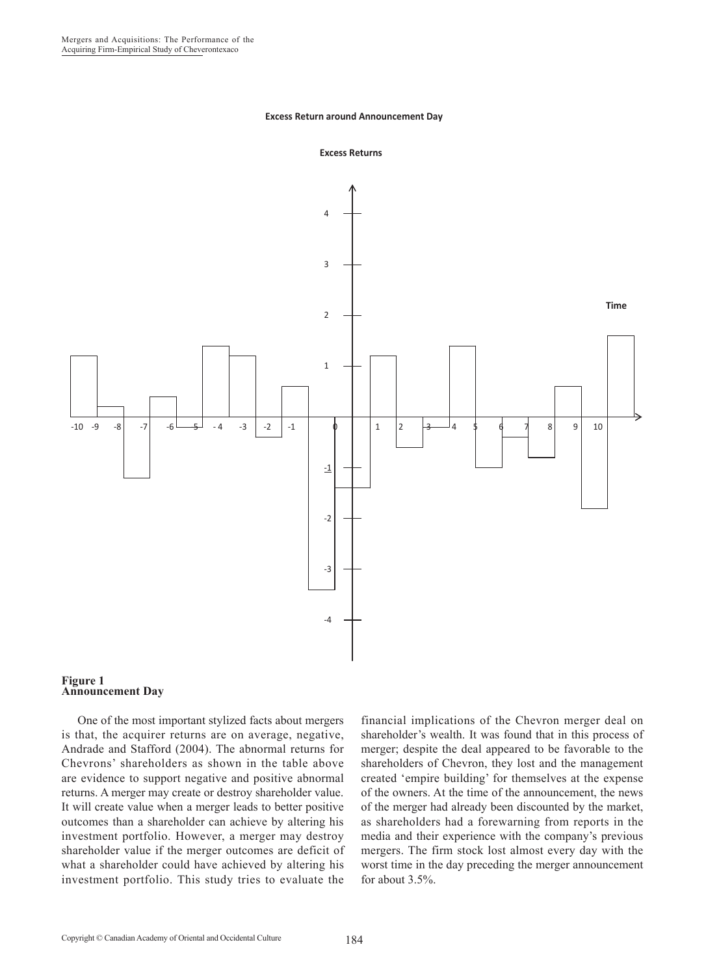#### **Excess Return around Announcement Day**





#### **Figure 1 Announcement Day**

One of the most important stylized facts about mergers is that, the acquirer returns are on average, negative, Andrade and Stafford (2004). The abnormal returns for Chevrons' shareholders as shown in the table above are evidence to support negative and positive abnormal returns. A merger may create or destroy shareholder value. It will create value when a merger leads to better positive outcomes than a shareholder can achieve by altering his investment portfolio. However, a merger may destroy shareholder value if the merger outcomes are deficit of what a shareholder could have achieved by altering his investment portfolio. This study tries to evaluate the

financial implications of the Chevron merger deal on shareholder's wealth. It was found that in this process of merger; despite the deal appeared to be favorable to the shareholders of Chevron, they lost and the management created 'empire building' for themselves at the expense of the owners. At the time of the announcement, the news of the merger had already been discounted by the market, as shareholders had a forewarning from reports in the media and their experience with the company's previous mergers. The firm stock lost almost every day with the worst time in the day preceding the merger announcement for about 3.5%.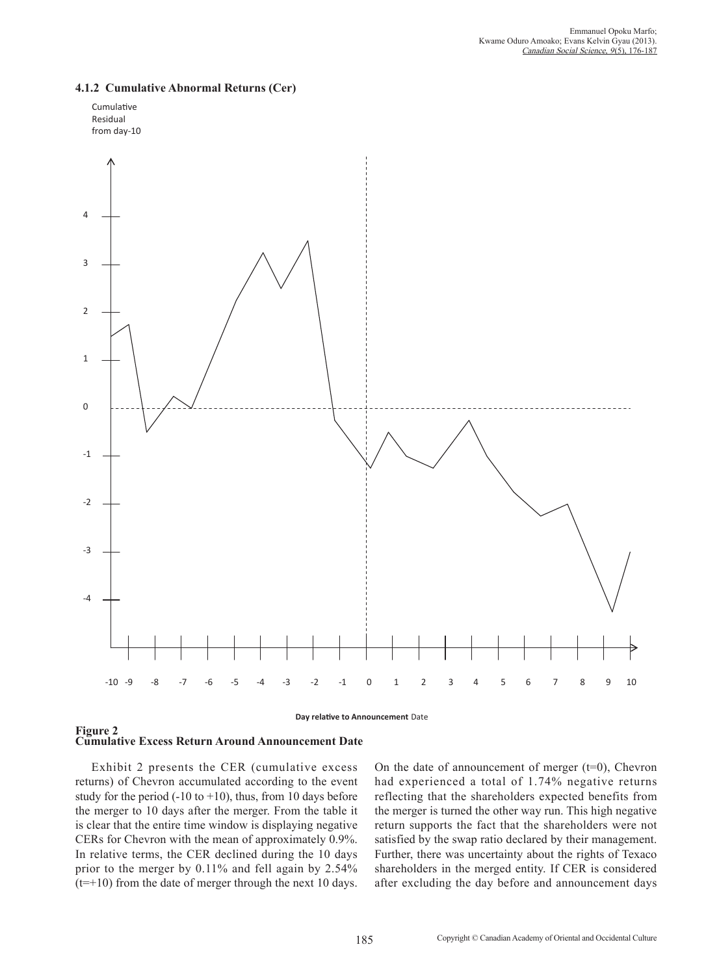

### **4.1.2 Cumulative Abnormal Returns (Cer)**



Exhibit 2 presents the CER (cumulative excess returns) of Chevron accumulated according to the event study for the period  $(-10 \text{ to } +10)$ , thus, from 10 days before the merger to 10 days after the merger. From the table it is clear that the entire time window is displaying negative CERs for Chevron with the mean of approximately 0.9%. In relative terms, the CER declined during the 10 days prior to the merger by 0.11% and fell again by 2.54%  $(t=+10)$  from the date of merger through the next 10 days.

On the date of announcement of merger  $(t=0)$ , Chevron had experienced a total of 1.74% negative returns reflecting that the shareholders expected benefits from the merger is turned the other way run. This high negative return supports the fact that the shareholders were not satisfied by the swap ratio declared by their management. Further, there was uncertainty about the rights of Texaco shareholders in the merged entity. If CER is considered after excluding the day before and announcement days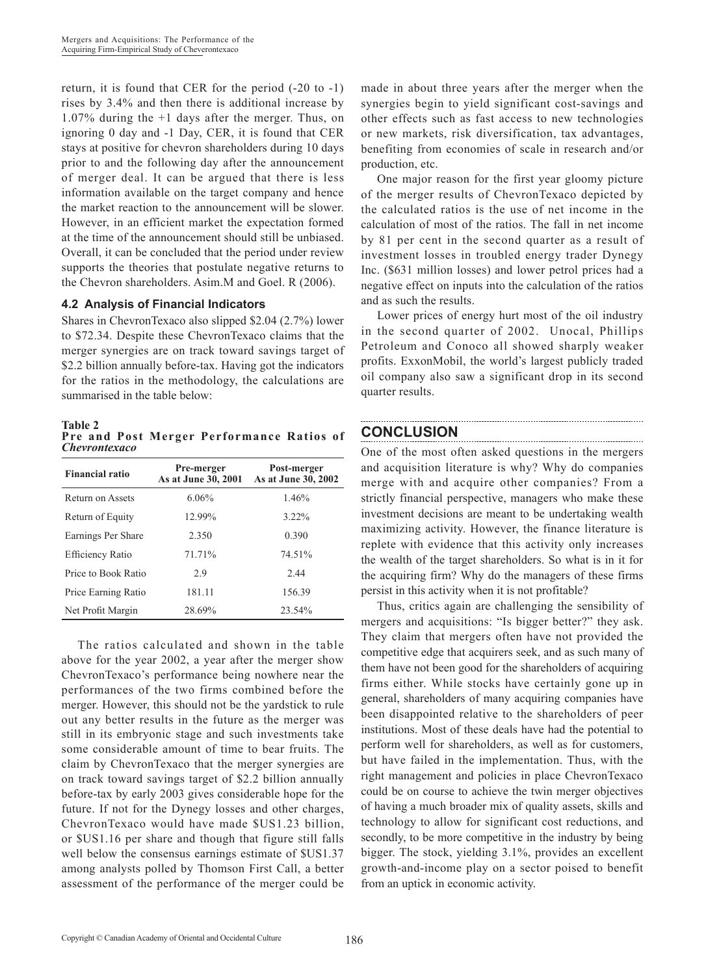return, it is found that CER for the period (-20 to -1) rises by 3.4% and then there is additional increase by 1.07% during the +1 days after the merger. Thus, on ignoring 0 day and -1 Day, CER, it is found that CER stays at positive for chevron shareholders during 10 days prior to and the following day after the announcement of merger deal. It can be argued that there is less information available on the target company and hence the market reaction to the announcement will be slower. However, in an efficient market the expectation formed at the time of the announcement should still be unbiased. Overall, it can be concluded that the period under review supports the theories that postulate negative returns to the Chevron shareholders. Asim.M and Goel. R (2006).

### **4.2 Analysis of Financial Indicators**

Shares in ChevronTexaco also slipped \$2.04 (2.7%) lower to \$72.34. Despite these ChevronTexaco claims that the merger synergies are on track toward savings target of \$2.2 billion annually before-tax. Having got the indicators for the ratios in the methodology, the calculations are summarised in the table below:

**Table 2 Pre and Post Merger Performance Ratios of**  *Chevrontexaco*

| <b>Financial ratio</b>  | Pre-merger<br>As at June 30, 2001 | Post-merger<br>As at June 30, 2002 |
|-------------------------|-----------------------------------|------------------------------------|
| Return on Assets        | $6.06\%$                          | 1.46%                              |
| Return of Equity        | 12.99%                            | $3.22\%$                           |
| Earnings Per Share      | 2.350                             | 0.390                              |
| <b>Efficiency Ratio</b> | 71.71%                            | 74.51%                             |
| Price to Book Ratio     | 2.9                               | 2.44                               |
| Price Earning Ratio     | 181.11                            | 156.39                             |
| Net Profit Margin       | 28.69%                            | 23.54%                             |

The ratios calculated and shown in the table above for the year 2002, a year after the merger show ChevronTexaco's performance being nowhere near the performances of the two firms combined before the merger. However, this should not be the yardstick to rule out any better results in the future as the merger was still in its embryonic stage and such investments take some considerable amount of time to bear fruits. The claim by ChevronTexaco that the merger synergies are on track toward savings target of \$2.2 billion annually before-tax by early 2003 gives considerable hope for the future. If not for the Dynegy losses and other charges, ChevronTexaco would have made \$US1.23 billion, or \$US1.16 per share and though that figure still falls well below the consensus earnings estimate of \$US1.37 among analysts polled by Thomson First Call, a better assessment of the performance of the merger could be made in about three years after the merger when the synergies begin to yield significant cost-savings and other effects such as fast access to new technologies or new markets, risk diversification, tax advantages, benefiting from economies of scale in research and/or production, etc.

One major reason for the first year gloomy picture of the merger results of ChevronTexaco depicted by the calculated ratios is the use of net income in the calculation of most of the ratios. The fall in net income by 81 per cent in the second quarter as a result of investment losses in troubled energy trader Dynegy Inc. (\$631 million losses) and lower petrol prices had a negative effect on inputs into the calculation of the ratios and as such the results.

Lower prices of energy hurt most of the oil industry in the second quarter of 2002. Unocal, Phillips Petroleum and Conoco all showed sharply weaker profits. ExxonMobil, the world's largest publicly traded oil company also saw a significant drop in its second quarter results.

# **CONCLUSION**

One of the most often asked questions in the mergers and acquisition literature is why? Why do companies merge with and acquire other companies? From a strictly financial perspective, managers who make these investment decisions are meant to be undertaking wealth maximizing activity. However, the finance literature is replete with evidence that this activity only increases the wealth of the target shareholders. So what is in it for the acquiring firm? Why do the managers of these firms persist in this activity when it is not profitable?

Thus, critics again are challenging the sensibility of mergers and acquisitions: "Is bigger better?" they ask. They claim that mergers often have not provided the competitive edge that acquirers seek, and as such many of them have not been good for the shareholders of acquiring firms either. While stocks have certainly gone up in general, shareholders of many acquiring companies have been disappointed relative to the shareholders of peer institutions. Most of these deals have had the potential to perform well for shareholders, as well as for customers, but have failed in the implementation. Thus, with the right management and policies in place ChevronTexaco could be on course to achieve the twin merger objectives of having a much broader mix of quality assets, skills and technology to allow for significant cost reductions, and secondly, to be more competitive in the industry by being bigger. The stock, yielding 3.1%, provides an excellent growth-and-income play on a sector poised to benefit from an uptick in economic activity.